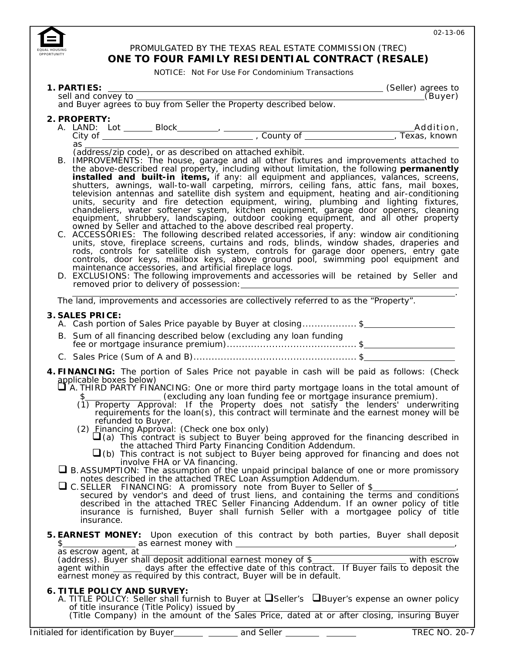

|                                                                                                                                                                                                                                                                                                                                                                                                                                                                                                                                                                                                                                                                                                                                                                                                                                                                                                                                                                                                                                                                                                                                                                                                                                                                                                                                                                                                                 | 02-13-06 |
|-----------------------------------------------------------------------------------------------------------------------------------------------------------------------------------------------------------------------------------------------------------------------------------------------------------------------------------------------------------------------------------------------------------------------------------------------------------------------------------------------------------------------------------------------------------------------------------------------------------------------------------------------------------------------------------------------------------------------------------------------------------------------------------------------------------------------------------------------------------------------------------------------------------------------------------------------------------------------------------------------------------------------------------------------------------------------------------------------------------------------------------------------------------------------------------------------------------------------------------------------------------------------------------------------------------------------------------------------------------------------------------------------------------------|----------|
| PROMULGATED BY THE TEXAS REAL ESTATE COMMISSION (TREC)<br>ONE TO FOUR FAMILY RESIDENTIAL CONTRACT (RESALE)                                                                                                                                                                                                                                                                                                                                                                                                                                                                                                                                                                                                                                                                                                                                                                                                                                                                                                                                                                                                                                                                                                                                                                                                                                                                                                      |          |
| NOTICE: Not For Use For Condominium Transactions                                                                                                                                                                                                                                                                                                                                                                                                                                                                                                                                                                                                                                                                                                                                                                                                                                                                                                                                                                                                                                                                                                                                                                                                                                                                                                                                                                |          |
| 1. PARTIES:                                                                                                                                                                                                                                                                                                                                                                                                                                                                                                                                                                                                                                                                                                                                                                                                                                                                                                                                                                                                                                                                                                                                                                                                                                                                                                                                                                                                     |          |
|                                                                                                                                                                                                                                                                                                                                                                                                                                                                                                                                                                                                                                                                                                                                                                                                                                                                                                                                                                                                                                                                                                                                                                                                                                                                                                                                                                                                                 |          |
| 2. PROPERTY:                                                                                                                                                                                                                                                                                                                                                                                                                                                                                                                                                                                                                                                                                                                                                                                                                                                                                                                                                                                                                                                                                                                                                                                                                                                                                                                                                                                                    |          |
| as and the state of the state of the state of the state of the state of the state of the state of the state of the state of the state of the state of the state of the state of the state of the state of the state of the stat                                                                                                                                                                                                                                                                                                                                                                                                                                                                                                                                                                                                                                                                                                                                                                                                                                                                                                                                                                                                                                                                                                                                                                                 |          |
| (address/zip code), or as described on attached exhibit.<br>B. IMPROVEMENTS: The house, garage and all other fixtures and improvements attached to<br>the above-described real property, including without limitation, the following permanently<br>installed and built-in items, if any: all equipment and appliances, valances, screens,<br>shutters, awnings, wall-to-wall carpeting, mirrors, ceiling fans, attic fans, mail boxes,<br>television antennas and satellite dish system and equipment, heating and air-conditioning<br>units, security and fire detection equipment, wiring, plumbing and lighting fixtures, chandeliers, water softener system, kitchen equipment, garage door openers, cleaning<br>equipment, shrubbery, landscaping, outdoor cooking equipment, and all other property<br>owned by Seller and attached to the above described real property.<br>C. ACCESSORIES: The following described related accessories, if any: window air conditioning<br>units, stove, fireplace screens, curtains and rods, blinds, window shades, draperies and<br>rods, controls for satellite dish system, controls for garage door openers, entry gate controls, door keys, mailbox keys, above ground pool, swimming pool equipment and<br>maintenance accessories, and artificial fireplace logs.<br>D. EXCLUSIONS: The following improvements and accessories will be retained by Seller and |          |
| The land, improvements and accessories are collectively referred to as the "Property".                                                                                                                                                                                                                                                                                                                                                                                                                                                                                                                                                                                                                                                                                                                                                                                                                                                                                                                                                                                                                                                                                                                                                                                                                                                                                                                          |          |
| <b>3. SALES PRICE:</b>                                                                                                                                                                                                                                                                                                                                                                                                                                                                                                                                                                                                                                                                                                                                                                                                                                                                                                                                                                                                                                                                                                                                                                                                                                                                                                                                                                                          |          |
| A. Cash portion of Sales Price payable by Buyer at closing\$                                                                                                                                                                                                                                                                                                                                                                                                                                                                                                                                                                                                                                                                                                                                                                                                                                                                                                                                                                                                                                                                                                                                                                                                                                                                                                                                                    |          |
|                                                                                                                                                                                                                                                                                                                                                                                                                                                                                                                                                                                                                                                                                                                                                                                                                                                                                                                                                                                                                                                                                                                                                                                                                                                                                                                                                                                                                 |          |
|                                                                                                                                                                                                                                                                                                                                                                                                                                                                                                                                                                                                                                                                                                                                                                                                                                                                                                                                                                                                                                                                                                                                                                                                                                                                                                                                                                                                                 |          |
| 4. FINANCING: The portion of Sales Price not payable in cash will be paid as follows: (Check<br>applicable boxes below)<br>A. THIRD PARTY FINANCING: One or more third party mortgage loans in the total amount of<br>\$___________________ (excluding any loan funding fee or mortgage insurance premium).<br>(1) Property Approval: If the Property does not satisfy the lenders' underwriting<br>requirements for the loan(s), this contract will terminate and the earnest money will be<br>refunded to Buyer.<br>(2) Einancing Approval: (Check one box only)<br>$\Box$ (a) This contract is subject to Buyer being approved for the financing described in<br>the attached Third Party Financing Condition Addendum.<br>$\Box$ (b) This contract is not subject to Buyer being approved for financing and does not<br>involve FHA or VA financing.<br>$\Box$ B. ASSUMPTION: The assumption of the unpaid principal balance of one or more promissory<br>notes described in the attached TREC Loan Assumption Addendum.<br>$\Box$ C. SELLER FINANCING: A promissory note from Buyer to Seller of \$____<br>secured by vendor's and deed of trust liens, and containing the terms and conditions<br>described in the attached TREC Seller Financing Addendum. If an owner policy of title<br>insurance is furnished, Buyer shall furnish Seller with a mortgagee policy of title<br>insurance.              |          |
| 5. EARNEST MONEY: Upon execution of this contract by both parties, Buyer shall deposit<br>\$ ____________________ as earnest money with ___________________________________                                                                                                                                                                                                                                                                                                                                                                                                                                                                                                                                                                                                                                                                                                                                                                                                                                                                                                                                                                                                                                                                                                                                                                                                                                     |          |
| as escrow agent, at<br>as escrow agent, at<br>(address). Buyer shall deposit additional earnest money of \$<br>agent within _______ days after the effective date of this contract. If Buyer fails to deposit the<br>earnest money as required by this contract, Buyer will be in default.                                                                                                                                                                                                                                                                                                                                                                                                                                                                                                                                                                                                                                                                                                                                                                                                                                                                                                                                                                                                                                                                                                                      |          |
| <b>6. TITLE POLICY AND SURVEY:</b><br>A. TITLE POLICY: Seller shall furnish to Buyer at <b>U</b> Seller's <b>U</b> Buyer's expense an owner policy<br>of title insurance (Title Policy) issued by _______                                                                                                                                                                                                                                                                                                                                                                                                                                                                                                                                                                                                                                                                                                                                                                                                                                                                                                                                                                                                                                                                                                                                                                                                       |          |

(Title Company) in the amount of the Sales Price, dated at or after closing, insuring Buyer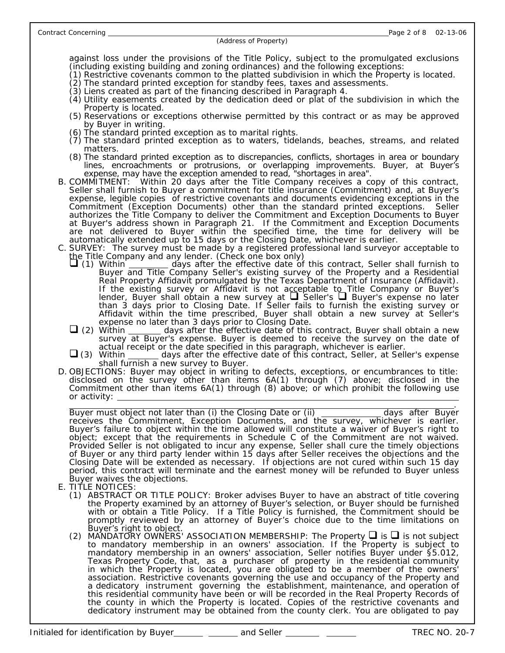against loss under the provisions of the Title Policy, subject to the promulgated exclusions (including existing building and zoning ordinances) and the following exceptions:

- (1) Restrictive covenants common to the platted subdivision in which the Property is located.
- (2) The standard printed exception for standby fees, taxes and assessments.
- (3) Liens created as part of the financing described in Paragraph 4.
- (4) Utility easements created by the dedication deed or plat of the subdivision in which the Property is located.
- (5) Reservations or exceptions otherwise permitted by this contract or as may be approved by Buyer in writing.
- (6) The standard printed exception as to marital rights.
- (7) The standard printed exception as to waters, tidelands, beaches, streams, and related matters.
- (8) The standard printed exception as to discrepancies, conflicts, shortages in area or boundary lines, encroachments or protrusions, or overlapping improvements. Buyer, at Buyer's expense, may have the exception amended to read, "shortages in area".
- B. COMMITMENT: Within 20 days after the Title Company receives a copy of this contract, Seller shall furnish to Buyer a commitment for title insurance (Commitment) and, at Buyer's expense, legible copies of restrictive covenants and documents evidencing exceptions in the Commitment (Exception Documents) other than the standard printed exceptions. Seller authorizes the Title Company to deliver the Commitment and Exception Documents to Buyer at Buyer's address shown in Paragraph 21. If the Commitment and Exception Documents are not delivered to Buyer within the specified time, the time for delivery will be automatically extended up to 15 days or the Closing Date, whichever is earlier.
- C. SURVEY: The survey must be made by a registered professional land surveyor acceptable to the Title Company and any lender. (Check one box only)<br>□ (1) Within \_\_\_\_\_\_\_\_ days after the effective date of this contract, Seller shall furnish to
	- Buyer and Title Company Seller's existing survey of the Property and a Residential Real Property Affidavit promulgated by the Texas Department of Insurance (Affidavit). If the existing survey or Affĭdavit is not acceptable to Title Company or Buyer's<br>lender, Buyer shall obtain a new survey at □ Seller's □ Buyer's expense no later than 3 days prior to Closing Date. If Seller fails to furnish the existing survey or Affidavit within the time prescribed, Buyer shall obtain a new survey at Seller's
	- expense no later than 3 days prior to Closing Date.<br>  $\Box$  (2) Within \_\_\_\_\_\_\_\_ days after the effective date of this contract, Buyer shall obtain a new survey at Buyer's expense. Buyer is deemed to receive the survey on the date of
	- actual receipt or the date specified in this paragraph, whichever is earlier.<br>
	(3) Within <u>days after</u> the effective date of this contract, Seller, at Seller's expense<br>
	shall furnish a new survey to Buyer.
- shall furnish a new survey to Buyer. D. OBJECTIONS: Buyer may object in writing to defects, exceptions, or encumbrances to title: disclosed on the survey other than items 6A(1) through (7) above; disclosed in the Commitment other than items 6A(1) through (8) above; or which prohibit the following use or activity:

 . Buyer must object not later than (i) the Closing Date or (ii) \_\_\_\_\_\_\_\_\_\_\_\_ days after Buyer receives the Commitment, Exception Documents, and the survey, whichever is earlier. Buyer's failure to object within the time allowed will constitute a waiver of Buyer's right to object; except that the requirements in Schedule C of the Commitment are not waived. Provided Seller is not obligated to incur any expense, Seller shall cure the timely objections of Buyer or any third party lender within 15 days after Seller receives the objections and the Closing Date will be extended as necessary. If objections are not cured within such 15 day period, this contract will terminate and the earnest money will be refunded to Buyer unless Buyer waives the objections.

- E. TITLE NOTICES:
	- (1) ABSTRACT OR TITLE POLICY: Broker advises Buyer to have an abstract of title covering the Property examined by an attorney of Buyer's selection, or Buyer should be furnished with or obtain a Title Policy. If a Title Policy is furnished, the Commitment should be promptly reviewed by an attorney of Buyer's choice due to the time limitations on
	- Buyer's right to object.<br>(2) MANDATORY OWNERS' ASSOCIATION MEMBERSHIP: The Property  $\Box$  is  $\Box$  is not subject to mandatory membership in an owners' association. If the Property is subject to mandatory membership in an owners' association, Seller notifies Buyer under §5.012, Texas Property Code, that, as a purchaser of property in the residential community in which the Property is located, you are obligated to be a member of the owners' association. Restrictive covenants governing the use and occupancy of the Property and a dedicatory instrument governing the establishment, maintenance, and operation of this residential community have been or will be recorded in the Real Property Records of the county in which the Property is located. Copies of the restrictive covenants and dedicatory instrument may be obtained from the county clerk. You are obligated to pay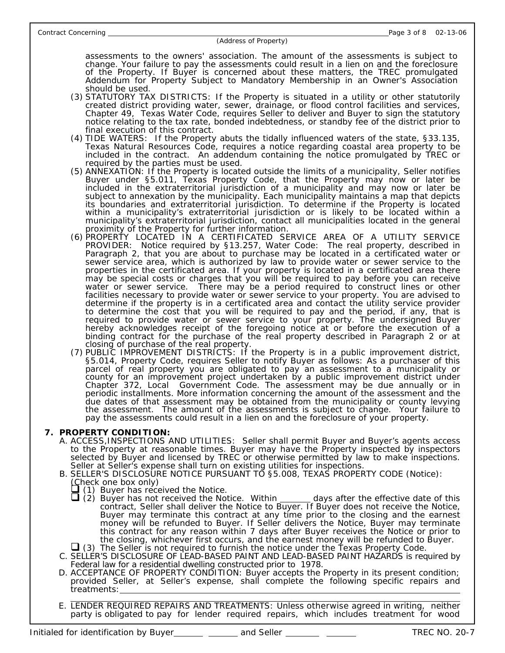#### (Address of Property)

assessments to the owners' association. The amount of the assessments is subject to change. Your failure to pay the assessments could result in a lien on and the foreclosure of the Property. If Buyer is concerned about these matters, the TREC promulgated Addendum for Property Subject to Mandatory Membership in an Owner's Association should be used.

- (3) STATUTORY TAX DISTRICTS: If the Property is situated in a utility or other statutorily created district providing water, sewer, drainage, or flood control facilities and services, Chapter 49, Texas Water Code, requires Seller to deliver and Buyer to sign the statutory notice relating to the tax rate, bonded indebtedness, or standby fee of the district prior to final execution of this contract.
- (4) TIDE WATERS: If the Property abuts the tidally influenced waters of the state, §33.135, Texas Natural Resources Code, requires a notice regarding coastal area property to be included in the contract. An addendum containing the notice promulgated by TREC or required by the parties must be used.
- (5) ANNEXATION: If the Property is located outside the limits of a municipality, Seller notifies Buyer under §5.011, Texas Property Code, that the Property may now or later be included in the extraterritorial jurisdiction of a municipality and may now or later be subject to annexation by the municipality. Each municipality maintains a map that depicts its boundaries and extraterritorial jurisdiction. To determine if the Property is located within a municipality's extraterritorial jurisdiction or is likely to be located within a municipality's extraterritorial jurisdiction, contact all municipalities located in the general proximity of the Property for further information.
- (6) PROPERTY LOCATED IN A CERTIFICATED SERVICE AREA OF A UTILITY SERVICE PROVIDER: Notice required by §13.257, Water Code: The real property, described in Paragraph 2, that you are about to purchase may be located in a certificated water or sewer service area, which is authorized by law to provide water or sewer service to the properties in the certificated area. If your property is located in a certificated area there may be special costs or charges that you will be required to pay before you can receive water or sewer service. There may be a period required to construct lines or other facilities necessary to provide water or sewer service to your property. You are advised to determine if the property is in a certificated area and contact the utility service provider to determine the cost that you will be required to pay and the period, if any, that is required to provide water or sewer service to your property. The undersigned Buyer hereby acknowledges receipt of the foregoing notice at or before the execution of a binding contract for the purchase of the real property described in Paragraph 2 or at
- closing of purchase of the real property. (7) PUBLIC IMPROVEMENT DISTRICTS: If the Property is in a public improvement district, §5.014, Property Code, requires Seller to notify Buyer as follows: As a purchaser of this parcel of real property you are obligated to pay an assessment to a municipality or county for an improvement project undertaken by a public improvement district under Chapter 372, Local Government Code. The assessment may be due annually or in periodic installments. More information concerning the amount of the assessment and the due dates of that assessment may be obtained from the municipality or county levying the assessment. The amount of the assessments is subject to change. Your failure to pay the assessments could result in a lien on and the foreclosure of your property.

## **7. PROPERTY CONDITION:**

- A. ACCESS,INSPECTIONS AND UTILITIES: Seller shall permit Buyer and Buyer's agents access to the Property at reasonable times. Buyer may have the Property inspected by inspectors selected by Buyer and licensed by TREC or otherwise permitted by law to make inspections. Seller at Seller's expense shall turn on existing utilities for inspections.
- B. SELLER'S DISCLOSURE NOTICE PURSUANT TO §5.008, TEXAS PROPERTY CODE (Notice):
	-
	- (Check one box only)<br> $\Box$  (1) Buyer has received the Notice.
	- $\Box$  (2) Buyer has not received the Notice. Within \_\_\_\_\_\_ days after the effective date of this contract, Seller shall deliver the Notice to Buyer. If Buyer does not receive the Notice, Buyer may terminate this contract at any time prior to the closing and the earnest money will be refunded to Buyer. If Seller delivers the Notice, Buyer may terminate this contract for any reason within 7 days after Buyer receives the Notice or prior to the closing, whichever first occurs, and the earnest money will be refunded to Buyer.<br> (3) The Seller is not required to furnish the notice under the Texas Property Code.
- 
- C. SELLER'S DISCLOSURE OF LEAD-BASED PAINT AND LEAD-BASED PAINT HAZARDS is required by Federal law for a residential dwelling constructed prior to 1978.
- D. ACCEPTANCE OF PROPERTY CONDITION: Buyer accepts the Property in its present condition; provided Seller, at Seller's expense, shall complete the following specific repairs and treatments:
- $\overline{\phantom{0}}$ E. LENDER REQUIRED REPAIRS AND TREATMENTS: Unless otherwise agreed in writing, neither party is obligated to pay for lender required repairs, which includes treatment for wood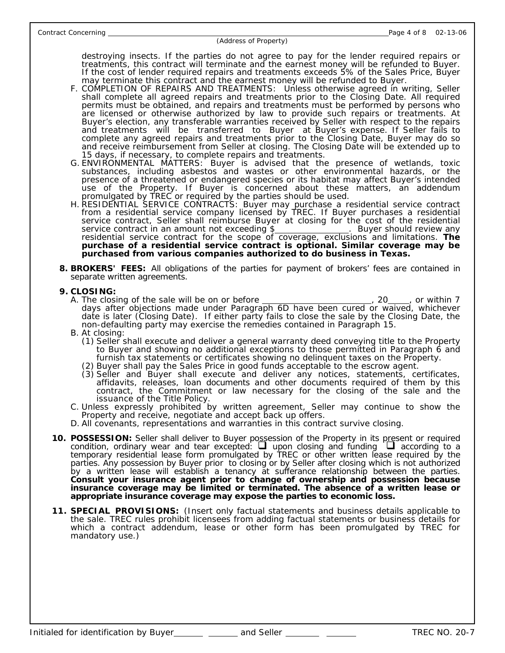#### (Address of Property)

destroying insects. If the parties do not agree to pay for the lender required repairs or treatments, this contract will terminate and the earnest money will be refunded to Buyer. If the cost of lender required repairs and treatments exceeds 5% of the Sales Price, Buyer may terminate this contract and the earnest money will be refunded to Buyer.

- F. COMPLETION OF REPAIRS AND TREATMENTS: Unless otherwise agreed in writing, Seller shall complete all agreed repairs and treatments prior to the Closing Date. All required permits must be obtained, and repairs and treatments must be performed by persons who are licensed or otherwise authorized by law to provide such repairs or treatments. At Buyer's election, any transferable warranties received by Seller with respect to the repairs and treatments will be transferred to Buyer at Buyer's expense. If Seller fails to complete any agreed repairs and treatments prior to the Closing Date, Buyer may do so and receive reimbursement from Seller at closing. The Closing Date will be extended up to 15 days, if necessary, to complete repairs and treatments.
- G. ENVIRONMENTAL MATTERS: Buyer is advised that the presence of wetlands, toxic substances, including asbestos and wastes or other environmental hazards, or the presence of a threatened or endangered species or its habitat may affect Buyer's intended use of the Property. If Buyer is concerned about these matters, an addendum promulgated by TREC or required by the parties should be used.
- H. RESIDENTIAL SERVICE CONTRACTS: Buyer may purchase a residential service contract from a residential service company licensed by TREC. If Buyer purchases a residential service contract, Seller shall reimburse Buyer at closing for the cost of the residential service contract in an amount not exceeding \$\_\_\_\_\_\_\_\_\_\_\_\_\_\_\_. Buyer should review any residential service contract for the scope of coverage, exclusions and limitations. **The purchase of a residential service contract is optional. Similar coverage may be purchased from various companies authorized to do business in Texas.**
- **8. BROKERS' FEES:** All obligations of the parties for payment of brokers' fees are contained in separate written agreements.

### **9. CLOSING:**

- A. The closing of the sale will be on or before  $\frac{1}{2}$  , 20 ,  $\frac{20}{2}$ , or within 7 days after objections made under Paragraph 6D have been cured or waived, whichever date is later (Closing Date). If either party fails to close the sale by the Closing Date, the non-defaulting party may exercise the remedies contained in Paragraph 15.
- B. At closing:
	- (1) Seller shall execute and deliver a general warranty deed conveying title to the Property to Buyer and showing no additional exceptions to those permitted in Paragraph 6 and furnish tax statements or certificates showing no delinquent taxes on the Property.
	- (2) Buyer shall pay the Sales Price in good funds acceptable to the escrow agent.
	- (3) Seller and Buyer shall execute and deliver any notices, statements, certificates, affidavits, releases, loan documents and other documents required of them by this contract, the Commitment or law necessary for the closing of the sale and the issuance of the Title Policy.
- C. Unless expressly prohibited by written agreement, Seller may continue to show the Property and receive, negotiate and accept back up offers.
- D. All covenants, representations and warranties in this contract survive closing.
- **10. POSSESSION:** Seller shall deliver to Buyer possession of the Property in its present or required condition, ordinary wear and tear excepted:  $\Box$  upon closing and funding  $\Box$  according to a temporary residential lease form promulgated by TREC or other written lease required by the parties. Any possession by Buyer prior to closing or by Seller after closing which is not authorized by a written lease will establish a tenancy at sufferance relationship between the parties. **Consult your insurance agent prior to change of ownership and possession because insurance coverage may be limited or terminated. The absence of a written lease or appropriate insurance coverage may expose the parties to economic loss.**
- **11. SPECIAL PROVISIONS:** (Insert only factual statements and business details applicable to the sale. TREC rules prohibit licensees from adding factual statements or business details for which a contract addendum, lease or other form has been promulgated by TREC for mandatory use.)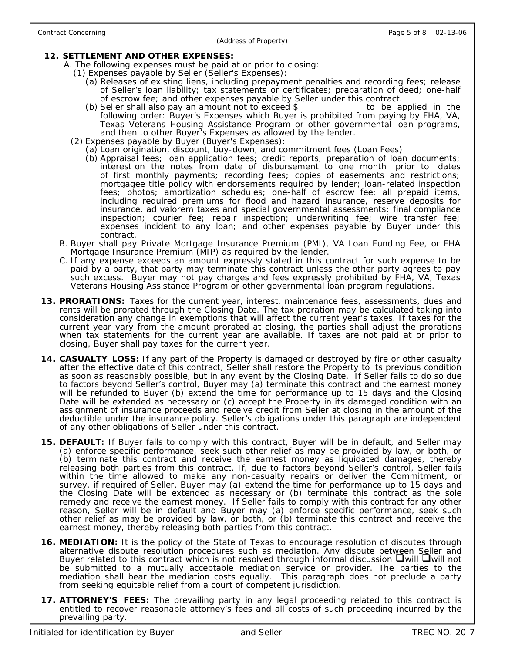(Address of Property)

# **12. SETTLEMENT AND OTHER EXPENSES:**

- A. The following expenses must be paid at or prior to closing:
	- (1) Expenses payable by Seller (Seller's Expenses):
		- (a) Releases of existing liens, including prepayment penalties and recording fees; release of Seller's loan liability; tax statements or certificates; preparation of deed; one-half of escrow fee; and other expenses payable by Seller under this contract.
		- (b) Seller shall also pay an amount not to exceed  $\frac{1}{2}$  to be applied in the following order: Buyer's Expenses which Buyer is prohibited from paying by FHA, VA, Texas Veterans Housing Assistance Program or other governmental loan programs, and then to other Buyer's Expenses as allowed by the lender.
	- (2) Expenses payable by Buyer (Buyer's Expenses):
		- (a) Loan origination, discount, buy-down, and commitment fees (Loan Fees).
		- (b) Appraisal fees; loan application fees; credit reports; preparation of loan documents; interest on the notes from date of disbursement to one month prior to dates of first monthly payments; recording fees; copies of easements and restrictions; mortgagee title policy with endorsements required by lender; loan-related inspection fees; photos; amortization schedules; one-half of escrow fee; all prepaid items, including required premiums for flood and hazard insurance, reserve deposits for insurance, ad valorem taxes and special governmental assessments; final compliance inspection; courier fee; repair inspection; underwriting fee; wire transfer fee; expenses incident to any loan; and other expenses payable by Buyer under this contract.
- B. Buyer shall pay Private Mortgage Insurance Premium (PMI), VA Loan Funding Fee, or FHA Mortgage Insurance Premium (MIP) as required by the lender.
- C. If any expense exceeds an amount expressly stated in this contract for such expense to be paid by a party, that party may terminate this contract unless the other party agrees to pay such excess. Buyer may not pay charges and fees expressly prohibited by FHA, VA, Texas Veterans Housing Assistance Program or other governmental loan program regulations.
- **13. PRORATIONS:** Taxes for the current year, interest, maintenance fees, assessments, dues and rents will be prorated through the Closing Date. The tax proration may be calculated taking into consideration any change in exemptions that will affect the current year's taxes. If taxes for the current year vary from the amount prorated at closing, the parties shall adjust the prorations when tax statements for the current year are available. If taxes are not paid at or prior to closing, Buyer shall pay taxes for the current year.
- **14. CASUALTY LOSS:** If any part of the Property is damaged or destroyed by fire or other casualty after the effective date of this contract, Seller shall restore the Property to its previous condition as soon as reasonably possible, but in any event by the Closing Date. If Seller fails to do so due to factors beyond Seller's control, Buyer may (a) terminate this contract and the earnest money will be refunded to Buyer (b) extend the time for performance up to 15 days and the Closing Date will be extended as necessary or (c) accept the Property in its damaged condition with an assignment of insurance proceeds and receive credit from Seller at closing in the amount of the deductible under the insurance policy. Seller's obligations under this paragraph are independent of any other obligations of Seller under this contract.
- **15. DEFAULT:** If Buyer fails to comply with this contract, Buyer will be in default, and Seller may (a) enforce specific performance, seek such other relief as may be provided by law, or both, or (b) terminate this contract and receive the earnest money as liquidated damages, thereby releasing both parties from this contract. If, due to factors beyond Seller's control, Seller fails within the time allowed to make any non-casualty repairs or deliver the Commitment, or survey, if required of Seller, Buyer may (a) extend the time for performance up to 15 days and the Closing Date will be extended as necessary or (b) terminate this contract as the sole remedy and receive the earnest money. If Seller fails to comply with this contract for any other reason, Seller will be in default and Buyer may (a) enforce specific performance, seek such other relief as may be provided by law, or both, or (b) terminate this contract and receive the earnest money, thereby releasing both parties from this contract.
- **16. MEDIATION:** It is the policy of the State of Texas to encourage resolution of disputes through alternative dispute resolution procedures such as mediation. Any dispute between Seller and Buyer related to this contract which is not resolved through informal discussion  $\Box$ will  $\Box$ will not be submitted to a mutually acceptable mediation service or provider. The parties to the mediation shall bear the mediation costs equally. This paragraph does not preclude a party from seeking equitable relief from a court of competent jurisdiction.
- **17. ATTORNEY'S FEES:** The prevailing party in any legal proceeding related to this contract is entitled to recover reasonable attorney's fees and all costs of such proceeding incurred by the prevailing party.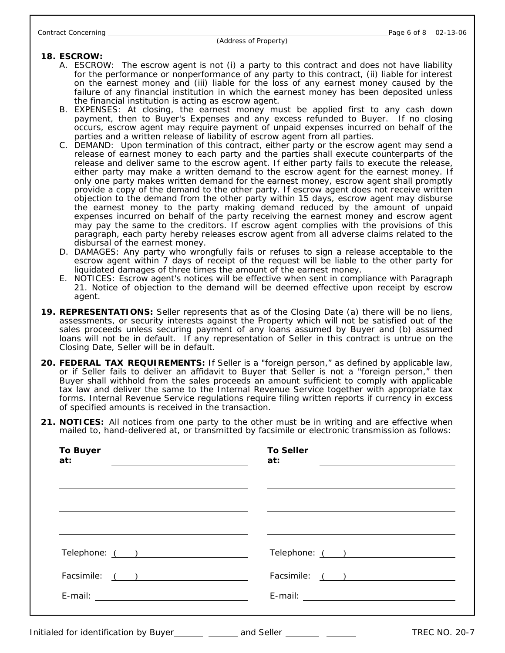#### **18. ESCROW:**

- A. ESCROW: The escrow agent is not (i) a party to this contract and does not have liability for the performance or nonperformance of any party to this contract, (ii) liable for interest on the earnest money and (iii) liable for the loss of any earnest money caused by the failure of any financial institution in which the earnest money has been deposited unless the financial institution is acting as escrow agent.
- B. EXPENSES: At closing, the earnest money must be applied first to any cash down payment, then to Buyer's Expenses and any excess refunded to Buyer. If no closing occurs, escrow agent may require payment of unpaid expenses incurred on behalf of the parties and a written release of liability of escrow agent from all parties.
- C. DEMAND: Upon termination of this contract, either party or the escrow agent may send a release of earnest money to each party and the parties shall execute counterparts of the release and deliver same to the escrow agent. If either party fails to execute the release, either party may make a written demand to the escrow agent for the earnest money. If only one party makes written demand for the earnest money, escrow agent shall promptly provide a copy of the demand to the other party. If escrow agent does not receive written objection to the demand from the other party within 15 days, escrow agent may disburse the earnest money to the party making demand reduced by the amount of unpaid expenses incurred on behalf of the party receiving the earnest money and escrow agent may pay the same to the creditors. If escrow agent complies with the provisions of this paragraph, each party hereby releases escrow agent from all adverse claims related to the disbursal of the earnest money.
- D. DAMAGES: Any party who wrongfully fails or refuses to sign a release acceptable to the escrow agent within 7 days of receipt of the request will be liable to the other party for liquidated damages of three times the amount of the earnest money.
- E. NOTICES: Escrow agent's notices will be effective when sent in compliance with Paragraph 21. Notice of objection to the demand will be deemed effective upon receipt by escrow agent.
- **19. REPRESENTATIONS:** Seller represents that as of the Closing Date (a) there will be no liens, assessments, or security interests against the Property which will not be satisfied out of the sales proceeds unless securing payment of any loans assumed by Buyer and (b) assumed loans will not be in default. If any representation of Seller in this contract is untrue on the Closing Date, Seller will be in default.
- 20. FEDERAL TAX REQUIREMENTS: If Seller is a "foreign person," as defined by applicable law, or if Seller fails to deliver an affidavit to Buyer that Seller is not a "foreign person," then Buyer shall withhold from the sales proceeds an amount sufficient to comply with applicable tax law and deliver the same to the Internal Revenue Service together with appropriate tax forms. Internal Revenue Service regulations require filing written reports if currency in excess of specified amounts is received in the transaction.
- **21. NOTICES:** All notices from one party to the other must be in writing and are effective when mailed to, hand-delivered at, or transmitted by facsimile or electronic transmission as follows:

| <b>To Buyer</b><br>at: | <b>To Seller</b><br>at: |  |  |
|------------------------|-------------------------|--|--|
|                        |                         |  |  |
| Telephone: ( )         | Telephone: ( )          |  |  |
| Facsimile: $($ )       | Facsimile: ( )          |  |  |
|                        |                         |  |  |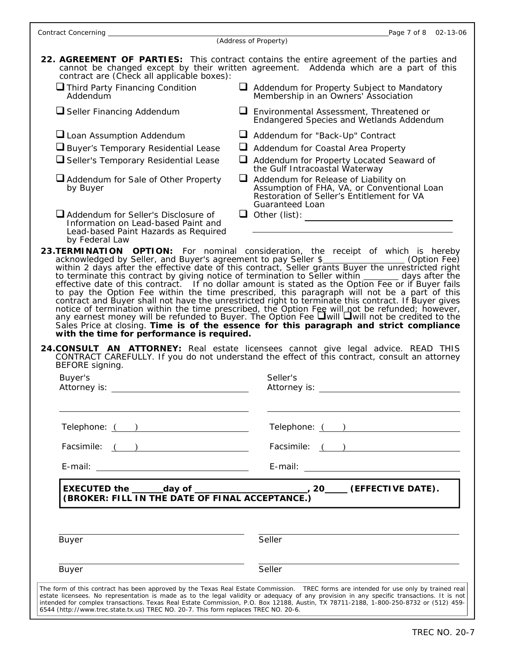| Contract Concerning                                                                                                                  | Page 7 of 8 02-13-06                                                                                                                                                                                                                                                                                                                                                                                                                                                                                                                                                                                                                                                                                                                                                                                                                                                                                                                                                                                                                                                                                                   |
|--------------------------------------------------------------------------------------------------------------------------------------|------------------------------------------------------------------------------------------------------------------------------------------------------------------------------------------------------------------------------------------------------------------------------------------------------------------------------------------------------------------------------------------------------------------------------------------------------------------------------------------------------------------------------------------------------------------------------------------------------------------------------------------------------------------------------------------------------------------------------------------------------------------------------------------------------------------------------------------------------------------------------------------------------------------------------------------------------------------------------------------------------------------------------------------------------------------------------------------------------------------------|
|                                                                                                                                      | (Address of Property)                                                                                                                                                                                                                                                                                                                                                                                                                                                                                                                                                                                                                                                                                                                                                                                                                                                                                                                                                                                                                                                                                                  |
| contract are (Check all applicable boxes):                                                                                           | 22. AGREEMENT OF PARTIES: This contract contains the entire agreement of the parties and<br>cannot be changed except by their written agreement. Addenda which are a part of this                                                                                                                                                                                                                                                                                                                                                                                                                                                                                                                                                                                                                                                                                                                                                                                                                                                                                                                                      |
| $\Box$ Third Party Financing Condition<br>Addendum                                                                                   | Addendum for Property Subject to Mandatory<br>Membership in an Owners' Association                                                                                                                                                                                                                                                                                                                                                                                                                                                                                                                                                                                                                                                                                                                                                                                                                                                                                                                                                                                                                                     |
| $\Box$ Seller Financing Addendum                                                                                                     | $\Box$ Environmental Assessment, Threatened or<br>Endangered Species and Wetlands Addendum                                                                                                                                                                                                                                                                                                                                                                                                                                                                                                                                                                                                                                                                                                                                                                                                                                                                                                                                                                                                                             |
| Loan Assumption Addendum                                                                                                             | Addendum for "Back-Up" Contract                                                                                                                                                                                                                                                                                                                                                                                                                                                                                                                                                                                                                                                                                                                                                                                                                                                                                                                                                                                                                                                                                        |
| Buyer's Temporary Residential Lease                                                                                                  | Addendum for Coastal Area Property                                                                                                                                                                                                                                                                                                                                                                                                                                                                                                                                                                                                                                                                                                                                                                                                                                                                                                                                                                                                                                                                                     |
| Seller's Temporary Residential Lease                                                                                                 | Addendum for Property Located Seaward of<br>the Gulf Intracoastal Waterway                                                                                                                                                                                                                                                                                                                                                                                                                                                                                                                                                                                                                                                                                                                                                                                                                                                                                                                                                                                                                                             |
| Addendum for Sale of Other Property<br>by Buyer                                                                                      | $\Box$ Addendum for Release of Liability on<br>Assumption of FHA, VA, or Conventional Loan<br>Restoration of Seller's Entitlement for VA<br>Guaranteed Loan                                                                                                                                                                                                                                                                                                                                                                                                                                                                                                                                                                                                                                                                                                                                                                                                                                                                                                                                                            |
| Addendum for Seller's Disclosure of<br>Information on Lead-based Paint and<br>Lead-based Paint Hazards as Required<br>by Federal Law |                                                                                                                                                                                                                                                                                                                                                                                                                                                                                                                                                                                                                                                                                                                                                                                                                                                                                                                                                                                                                                                                                                                        |
| with the time for performance is required.<br>BEFORE signing.                                                                        | acknowledged by Seller, and Buyer's agreement to pay Seller \$_______________(Option Fee)<br>within 2 days after the effective date of this contract, Seller grants Buyer the unrestricted right<br>(Option Fee)<br>to terminate this contract by giving notice of termination to Seller within _______ days after the<br>effective date of this contract. If no dollar amount is stated as the Option Fee or if Buyer fails<br>to pay the Option Fee within the time prescribed, this paragraph will not be a part of this<br>contract and Buyer shall not have the unrestricted right to terminate this contract. If Buyer gives<br>notice of termination within the time prescribed, the Option Fee will not be refunded; however, any earnest money will be refunded to Buyer. The Option Fee Uwill Uwill not be credited to the<br>Sales Price at closing. Time is of the essence for this paragraph and strict compliance<br>24. CONSULT AN ATTORNEY: Real estate licensees cannot give legal advice. READ THIS<br>CONTRACT CAREFULLY. If you do not understand the effect of this contract, consult an attorney |
| Buyer's<br>Attorney is:                                                                                                              | Seller's<br>Attorney is:                                                                                                                                                                                                                                                                                                                                                                                                                                                                                                                                                                                                                                                                                                                                                                                                                                                                                                                                                                                                                                                                                               |
|                                                                                                                                      |                                                                                                                                                                                                                                                                                                                                                                                                                                                                                                                                                                                                                                                                                                                                                                                                                                                                                                                                                                                                                                                                                                                        |
|                                                                                                                                      | Telephone: ( )                                                                                                                                                                                                                                                                                                                                                                                                                                                                                                                                                                                                                                                                                                                                                                                                                                                                                                                                                                                                                                                                                                         |
| Facsimile: ()                                                                                                                        | Facsimile: $($ )                                                                                                                                                                                                                                                                                                                                                                                                                                                                                                                                                                                                                                                                                                                                                                                                                                                                                                                                                                                                                                                                                                       |
|                                                                                                                                      |                                                                                                                                                                                                                                                                                                                                                                                                                                                                                                                                                                                                                                                                                                                                                                                                                                                                                                                                                                                                                                                                                                                        |
| (BROKER: FILL IN THE DATE OF FINAL ACCEPTANCE.)                                                                                      | EXECUTED the ________day of ___________________________, 20______ (EFFECTIVE DATE).                                                                                                                                                                                                                                                                                                                                                                                                                                                                                                                                                                                                                                                                                                                                                                                                                                                                                                                                                                                                                                    |
|                                                                                                                                      |                                                                                                                                                                                                                                                                                                                                                                                                                                                                                                                                                                                                                                                                                                                                                                                                                                                                                                                                                                                                                                                                                                                        |
| Buyer                                                                                                                                | Seller                                                                                                                                                                                                                                                                                                                                                                                                                                                                                                                                                                                                                                                                                                                                                                                                                                                                                                                                                                                                                                                                                                                 |
| <b>Buyer</b>                                                                                                                         | Seller                                                                                                                                                                                                                                                                                                                                                                                                                                                                                                                                                                                                                                                                                                                                                                                                                                                                                                                                                                                                                                                                                                                 |
| 6544 (http://www.trec.state.tx.us) TREC NO. 20-7. This form replaces TREC NO. 20-6.                                                  | The form of this contract has been approved by the Texas Real Estate Commission. TREC forms are intended for use only by trained real<br>estate licensees. No representation is made as to the legal validity or adequacy of any provision in any specific transactions. It is not<br>intended for complex transactions. Texas Real Estate Commission, P.O. Box 12188, Austin, TX 78711-2188, 1-800-250-8732 or (512) 459-                                                                                                                                                                                                                                                                                                                                                                                                                                                                                                                                                                                                                                                                                             |